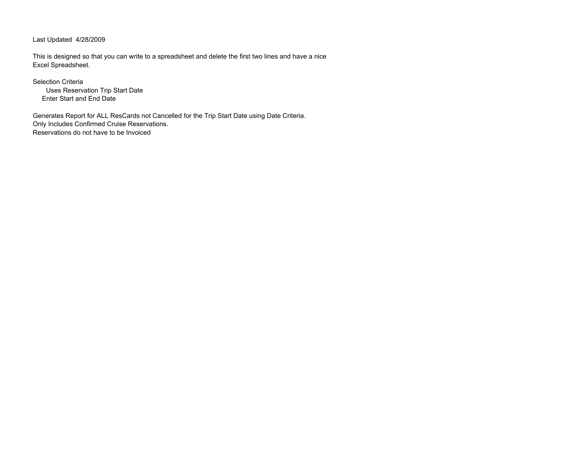Last Updated 4/28/2009

This is designed so that you can write to a spreadsheet and delete the first two lines and have a nice Excel Spreadsheet.

Selection Criteria Uses Reservation Trip Start Date Enter Start and End Date

Generates Report for ALL ResCards not Cancelled for the Trip Start Date using Date Criteria. Only Includes Confirmed Cruise Reservations. Reservations do not have to be Invoiced